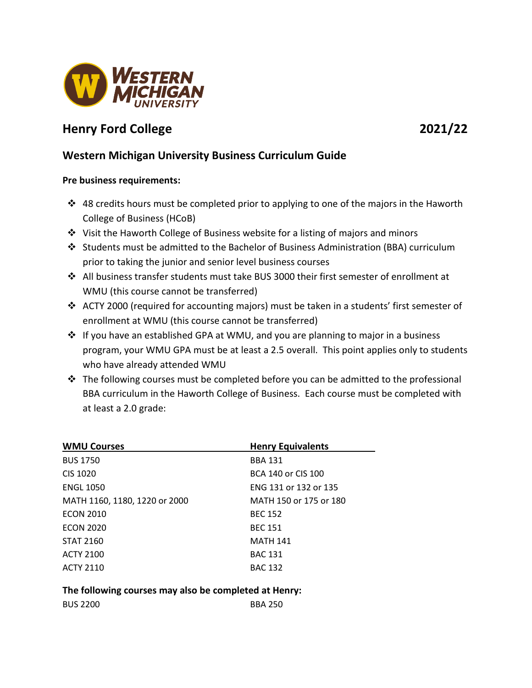

# **Henry Ford College 2021/22**

## **Western Michigan University Business Curriculum Guide**

### **Pre business requirements:**

- $\cdot$  48 credits hours must be completed prior to applying to one of the majors in the Haworth College of Business (HCoB)
- Visit the Haworth College of Business website for a listing of majors and minors
- $\clubsuit$  Students must be admitted to the Bachelor of Business Administration (BBA) curriculum prior to taking the junior and senior level business courses
- $\cdot \cdot$  All business transfer students must take BUS 3000 their first semester of enrollment at WMU (this course cannot be transferred)
- ACTY 2000 (required for accounting majors) must be taken in a students' first semester of enrollment at WMU (this course cannot be transferred)
- ❖ If you have an established GPA at WMU, and you are planning to major in a business program, your WMU GPA must be at least a 2.5 overall. This point applies only to students who have already attended WMU
- $\cdot \cdot$  The following courses must be completed before you can be admitted to the professional BBA curriculum in the Haworth College of Business. Each course must be completed with at least a 2.0 grade:

| <b>WMU Courses</b>            | <b>Henry Equivalents</b> |
|-------------------------------|--------------------------|
| <b>BUS 1750</b>               | <b>BBA 131</b>           |
| CIS 1020                      | BCA 140 or CIS 100       |
| <b>ENGL 1050</b>              | ENG 131 or 132 or 135    |
| MATH 1160, 1180, 1220 or 2000 | MATH 150 or 175 or 180   |
| <b>ECON 2010</b>              | <b>BEC 152</b>           |
| <b>ECON 2020</b>              | <b>BEC 151</b>           |
| <b>STAT 2160</b>              | <b>MATH 141</b>          |
| <b>ACTY 2100</b>              | <b>BAC 131</b>           |
| <b>ACTY 2110</b>              | <b>BAC 132</b>           |

**The following courses may also be completed at Henry:** 

| <b>BUS 2200</b> | <b>BBA 250</b> |
|-----------------|----------------|
|-----------------|----------------|